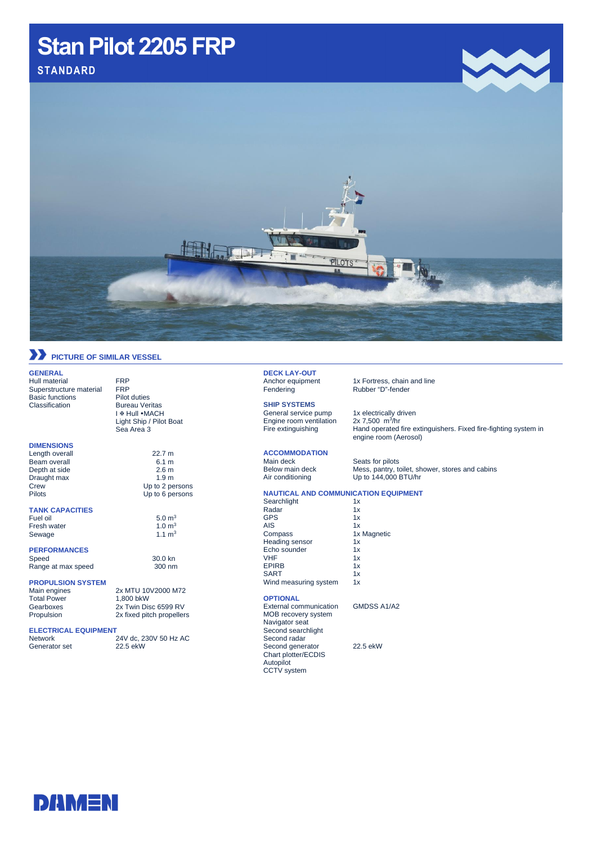## Stan Pilot 2205 FRP **Stan Pilot 2205 FRP**

**STANDARD**



### **PICTURE OF SIMILAR VESSEL**

#### **GENERAL**

Hull material FRP<br>Superstructure material FRP Superstructure material Basic functions Pilot duties<br>Classification Bureau Ver

#### **DIMENSIONS**

Length overall 22.7 m Beam overall 6.1 m<br>
Depth at side 2.6 m Depth at side 2.6 m<br>Draught max 1.9 m Draught max<br>Crew Crew Up to 2 persons<br>
Pilots Un to 6 persons

#### **TANK CAPACITIES**

Fuel oil  $5.0 \text{ m}^3$ <br>Fresh water  $1.0 \text{ m}^3$ Fresh water  $1.0 \text{ m}^3$ <br>Sewage  $1.1 \text{ m}^3$ Sewage

#### **PERFORMANCES**

Speed 30.0 kn<br>Range at max speed 300 nm Range at max speed

### **PROPULSION SYSTEM**

Total Power<br>Gearboxes

Generator set

2x MTU 10V2000 M72<br>1,800 bkW Gearboxes 2x Twin Disc 6599 RV<br>Propulsion 2x fixed pitch propeller 2x fixed pitch propellers

Up to 6 persons

**Bureau Veritas** I ® Hull • MACH Light Ship / Pilot Boat Sea Area 3

### **ELECTRICAL EQUIPMENT**

24V dc, 230V 50 Hz AC<br>22.5 ekW

### **DECK LAY-OUT**<br>Anchor equipment

**SHIP SYSTEMS** General service pump 1x electrically driven Engine room ventilation

**ACCOMMODATION** Main deck Seats for pilots<br>Below main deck Mess, pantry, to

1x Fortress, chain and line Fendering Rubber "D"-fender

2x 7,500  $m^3/hr$ Fire extinguishing Hand operated fire extinguishers. Fixed fire-fighting system in engine room (Aerosol)

Below main deck Mess, pantry, toilet, shower, stores and cabins<br>Air conditioning Up to 144,000 BTU/hr Up to 144,000 BTU/hr

### **NAUTICAL AND COMMUNICATION EQUIPMENT**

| Searchlight<br>Radar  | 1x |
|-----------------------|----|
|                       | 1x |
| <b>GPS</b>            | 1x |
| AIS                   | 1x |
| Compass               | 1x |
| Heading sensor        | 1x |
| Echo sounder          | 1x |
| <b>VHF</b>            | 1x |
| <b>EPIRB</b>          | 1x |
| <b>SART</b>           | 1x |
| Wind measuring system | 1x |

#### **OPTIONAL**

External communication GMDSS A1/A2 MOB recovery system Navigator seat Second searchlight Second radar Second generator 22.5 ekW Chart plotter/ECDIS Autopilot CCTV system

1x Magnetic<br>1x